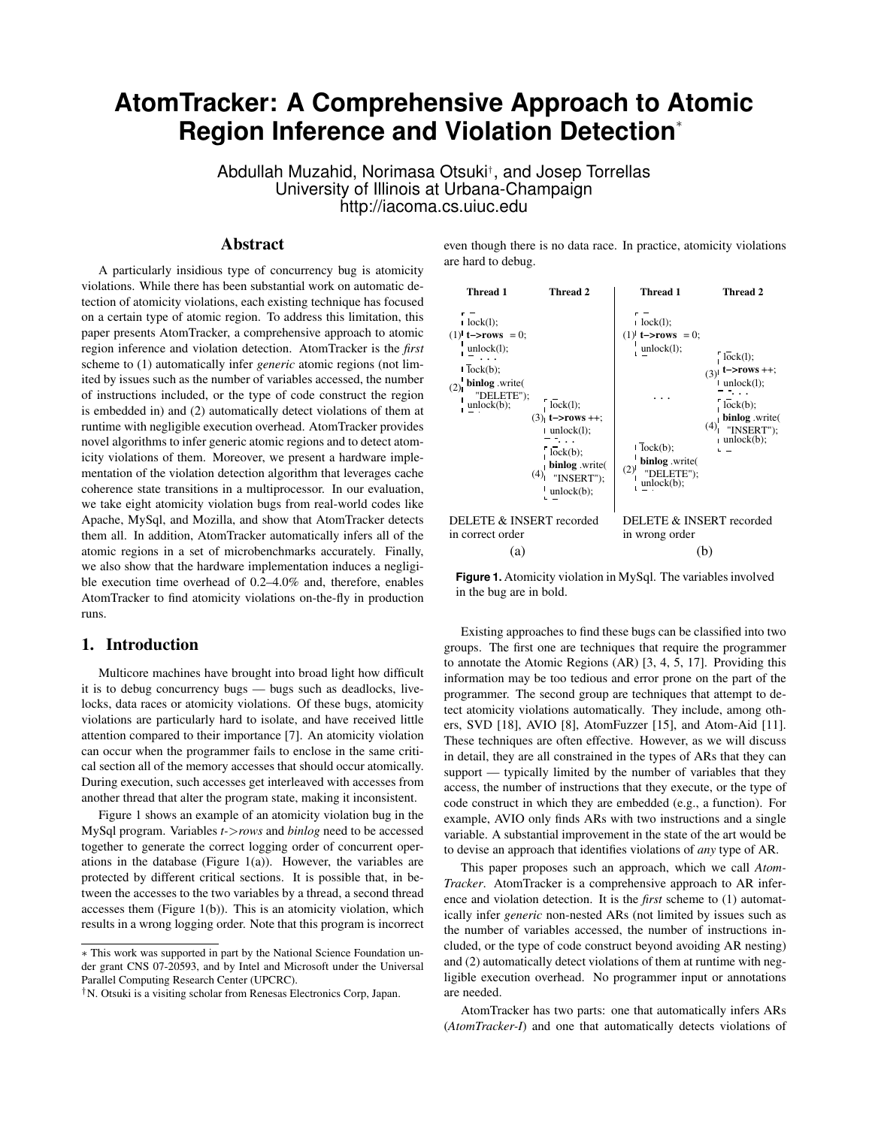# **AtomTracker: A Comprehensive Approach to Atomic Region Inference and Violation Detection**<sup>∗</sup>

Abdullah Muzahid, Norimasa Otsuki† , and Josep Torrellas University of Illinois at Urbana-Champaign http://iacoma.cs.uiuc.edu

## Abstract

A particularly insidious type of concurrency bug is atomicity violations. While there has been substantial work on automatic detection of atomicity violations, each existing technique has focused on a certain type of atomic region. To address this limitation, this paper presents AtomTracker, a comprehensive approach to atomic region inference and violation detection. AtomTracker is the *first* scheme to (1) automatically infer *generic* atomic regions (not limited by issues such as the number of variables accessed, the number of instructions included, or the type of code construct the region is embedded in) and (2) automatically detect violations of them at runtime with negligible execution overhead. AtomTracker provides novel algorithms to infer generic atomic regions and to detect atomicity violations of them. Moreover, we present a hardware implementation of the violation detection algorithm that leverages cache coherence state transitions in a multiprocessor. In our evaluation, we take eight atomicity violation bugs from real-world codes like Apache, MySql, and Mozilla, and show that AtomTracker detects them all. In addition, AtomTracker automatically infers all of the atomic regions in a set of microbenchmarks accurately. Finally, we also show that the hardware implementation induces a negligible execution time overhead of 0.2–4.0% and, therefore, enables AtomTracker to find atomicity violations on-the-fly in production runs.

# 1. Introduction

Multicore machines have brought into broad light how difficult it is to debug concurrency bugs — bugs such as deadlocks, livelocks, data races or atomicity violations. Of these bugs, atomicity violations are particularly hard to isolate, and have received little attention compared to their importance [7]. An atomicity violation can occur when the programmer fails to enclose in the same critical section all of the memory accesses that should occur atomically. During execution, such accesses get interleaved with accesses from another thread that alter the program state, making it inconsistent.

Figure 1 shows an example of an atomicity violation bug in the MySql program. Variables *t-*>*rows* and *binlog* need to be accessed together to generate the correct logging order of concurrent operations in the database (Figure  $1(a)$ ). However, the variables are protected by different critical sections. It is possible that, in between the accesses to the two variables by a thread, a second thread accesses them (Figure 1(b)). This is an atomicity violation, which results in a wrong logging order. Note that this program is incorrect even though there is no data race. In practice, atomicity violations are hard to debug.



**Figure 1.** Atomicity violation in MySql. The variables involved in the bug are in bold.

Existing approaches to find these bugs can be classified into two groups. The first one are techniques that require the programmer to annotate the Atomic Regions (AR) [3, 4, 5, 17]. Providing this information may be too tedious and error prone on the part of the programmer. The second group are techniques that attempt to detect atomicity violations automatically. They include, among others, SVD [18], AVIO [8], AtomFuzzer [15], and Atom-Aid [11]. These techniques are often effective. However, as we will discuss in detail, they are all constrained in the types of ARs that they can support — typically limited by the number of variables that they access, the number of instructions that they execute, or the type of code construct in which they are embedded (e.g., a function). For example, AVIO only finds ARs with two instructions and a single variable. A substantial improvement in the state of the art would be to devise an approach that identifies violations of *any* type of AR.

This paper proposes such an approach, which we call *Atom-Tracker*. AtomTracker is a comprehensive approach to AR inference and violation detection. It is the *first* scheme to (1) automatically infer *generic* non-nested ARs (not limited by issues such as the number of variables accessed, the number of instructions included, or the type of code construct beyond avoiding AR nesting) and (2) automatically detect violations of them at runtime with negligible execution overhead. No programmer input or annotations are needed.

AtomTracker has two parts: one that automatically infers ARs (*AtomTracker-I*) and one that automatically detects violations of

<sup>∗</sup> This work was supported in part by the National Science Foundation under grant CNS 07-20593, and by Intel and Microsoft under the Universal Parallel Computing Research Center (UPCRC).

<sup>†</sup>N. Otsuki is a visiting scholar from Renesas Electronics Corp, Japan.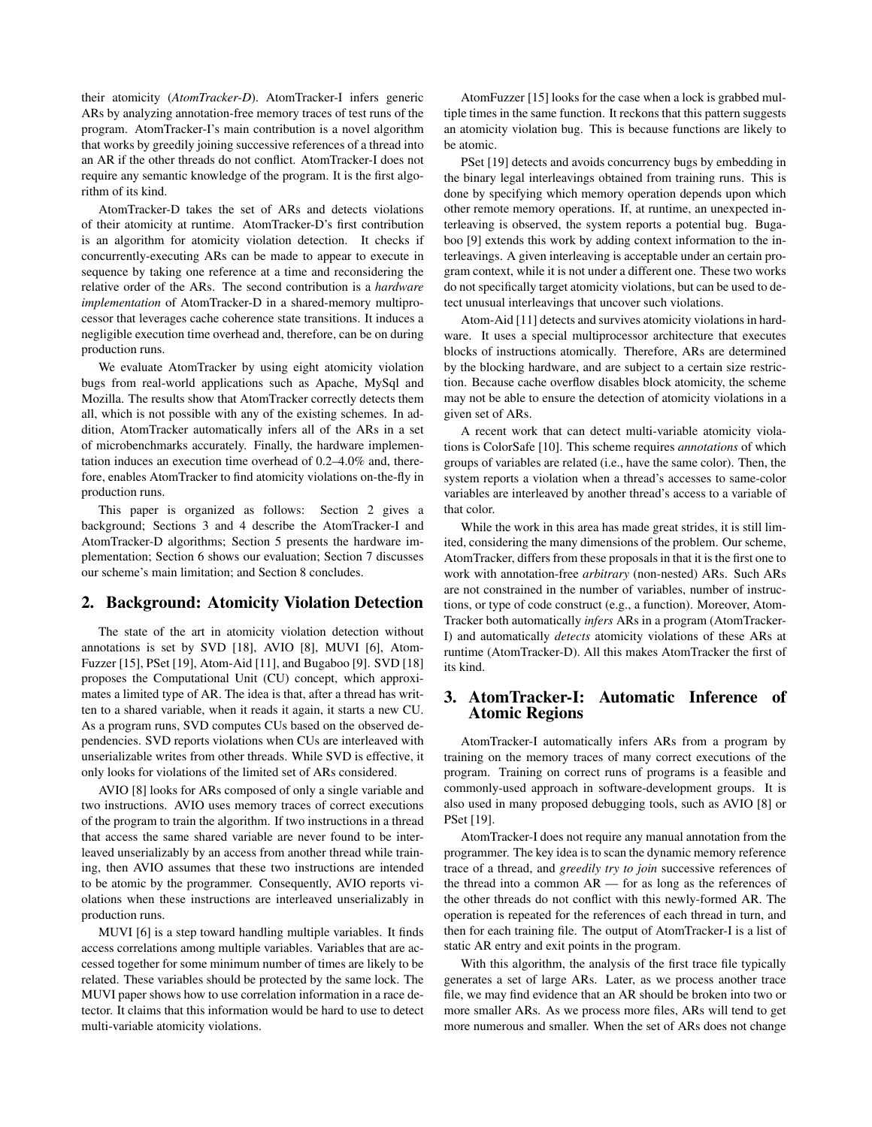their atomicity (*AtomTracker-D*). AtomTracker-I infers generic ARs by analyzing annotation-free memory traces of test runs of the program. AtomTracker-I's main contribution is a novel algorithm that works by greedily joining successive references of a thread into an AR if the other threads do not conflict. AtomTracker-I does not require any semantic knowledge of the program. It is the first algorithm of its kind.

AtomTracker-D takes the set of ARs and detects violations of their atomicity at runtime. AtomTracker-D's first contribution is an algorithm for atomicity violation detection. It checks if concurrently-executing ARs can be made to appear to execute in sequence by taking one reference at a time and reconsidering the relative order of the ARs. The second contribution is a *hardware implementation* of AtomTracker-D in a shared-memory multiprocessor that leverages cache coherence state transitions. It induces a negligible execution time overhead and, therefore, can be on during production runs.

We evaluate AtomTracker by using eight atomicity violation bugs from real-world applications such as Apache, MySql and Mozilla. The results show that AtomTracker correctly detects them all, which is not possible with any of the existing schemes. In addition, AtomTracker automatically infers all of the ARs in a set of microbenchmarks accurately. Finally, the hardware implementation induces an execution time overhead of 0.2–4.0% and, therefore, enables AtomTracker to find atomicity violations on-the-fly in production runs.

This paper is organized as follows: Section 2 gives a background; Sections 3 and 4 describe the AtomTracker-I and AtomTracker-D algorithms; Section 5 presents the hardware implementation; Section 6 shows our evaluation; Section 7 discusses our scheme's main limitation; and Section 8 concludes.

# 2. Background: Atomicity Violation Detection

The state of the art in atomicity violation detection without annotations is set by SVD [18], AVIO [8], MUVI [6], Atom-Fuzzer [15], PSet [19], Atom-Aid [11], and Bugaboo [9]. SVD [18] proposes the Computational Unit (CU) concept, which approximates a limited type of AR. The idea is that, after a thread has written to a shared variable, when it reads it again, it starts a new CU. As a program runs, SVD computes CUs based on the observed dependencies. SVD reports violations when CUs are interleaved with unserializable writes from other threads. While SVD is effective, it only looks for violations of the limited set of ARs considered.

AVIO [8] looks for ARs composed of only a single variable and two instructions. AVIO uses memory traces of correct executions of the program to train the algorithm. If two instructions in a thread that access the same shared variable are never found to be interleaved unserializably by an access from another thread while training, then AVIO assumes that these two instructions are intended to be atomic by the programmer. Consequently, AVIO reports violations when these instructions are interleaved unserializably in production runs.

MUVI [6] is a step toward handling multiple variables. It finds access correlations among multiple variables. Variables that are accessed together for some minimum number of times are likely to be related. These variables should be protected by the same lock. The MUVI paper shows how to use correlation information in a race detector. It claims that this information would be hard to use to detect multi-variable atomicity violations.

AtomFuzzer [15] looks for the case when a lock is grabbed multiple times in the same function. It reckons that this pattern suggests an atomicity violation bug. This is because functions are likely to be atomic.

PSet [19] detects and avoids concurrency bugs by embedding in the binary legal interleavings obtained from training runs. This is done by specifying which memory operation depends upon which other remote memory operations. If, at runtime, an unexpected interleaving is observed, the system reports a potential bug. Bugaboo [9] extends this work by adding context information to the interleavings. A given interleaving is acceptable under an certain program context, while it is not under a different one. These two works do not specifically target atomicity violations, but can be used to detect unusual interleavings that uncover such violations.

Atom-Aid [11] detects and survives atomicity violations in hardware. It uses a special multiprocessor architecture that executes blocks of instructions atomically. Therefore, ARs are determined by the blocking hardware, and are subject to a certain size restriction. Because cache overflow disables block atomicity, the scheme may not be able to ensure the detection of atomicity violations in a given set of ARs.

A recent work that can detect multi-variable atomicity violations is ColorSafe [10]. This scheme requires *annotations* of which groups of variables are related (i.e., have the same color). Then, the system reports a violation when a thread's accesses to same-color variables are interleaved by another thread's access to a variable of that color.

While the work in this area has made great strides, it is still limited, considering the many dimensions of the problem. Our scheme, AtomTracker, differs from these proposals in that it is the first one to work with annotation-free *arbitrary* (non-nested) ARs. Such ARs are not constrained in the number of variables, number of instructions, or type of code construct (e.g., a function). Moreover, Atom-Tracker both automatically *infers* ARs in a program (AtomTracker-I) and automatically *detects* atomicity violations of these ARs at runtime (AtomTracker-D). All this makes AtomTracker the first of its kind.

# 3. AtomTracker-I: Automatic Inference of Atomic Regions

AtomTracker-I automatically infers ARs from a program by training on the memory traces of many correct executions of the program. Training on correct runs of programs is a feasible and commonly-used approach in software-development groups. It is also used in many proposed debugging tools, such as AVIO [8] or PSet [19].

AtomTracker-I does not require any manual annotation from the programmer. The key idea is to scan the dynamic memory reference trace of a thread, and *greedily try to join* successive references of the thread into a common AR — for as long as the references of the other threads do not conflict with this newly-formed AR. The operation is repeated for the references of each thread in turn, and then for each training file. The output of AtomTracker-I is a list of static AR entry and exit points in the program.

With this algorithm, the analysis of the first trace file typically generates a set of large ARs. Later, as we process another trace file, we may find evidence that an AR should be broken into two or more smaller ARs. As we process more files, ARs will tend to get more numerous and smaller. When the set of ARs does not change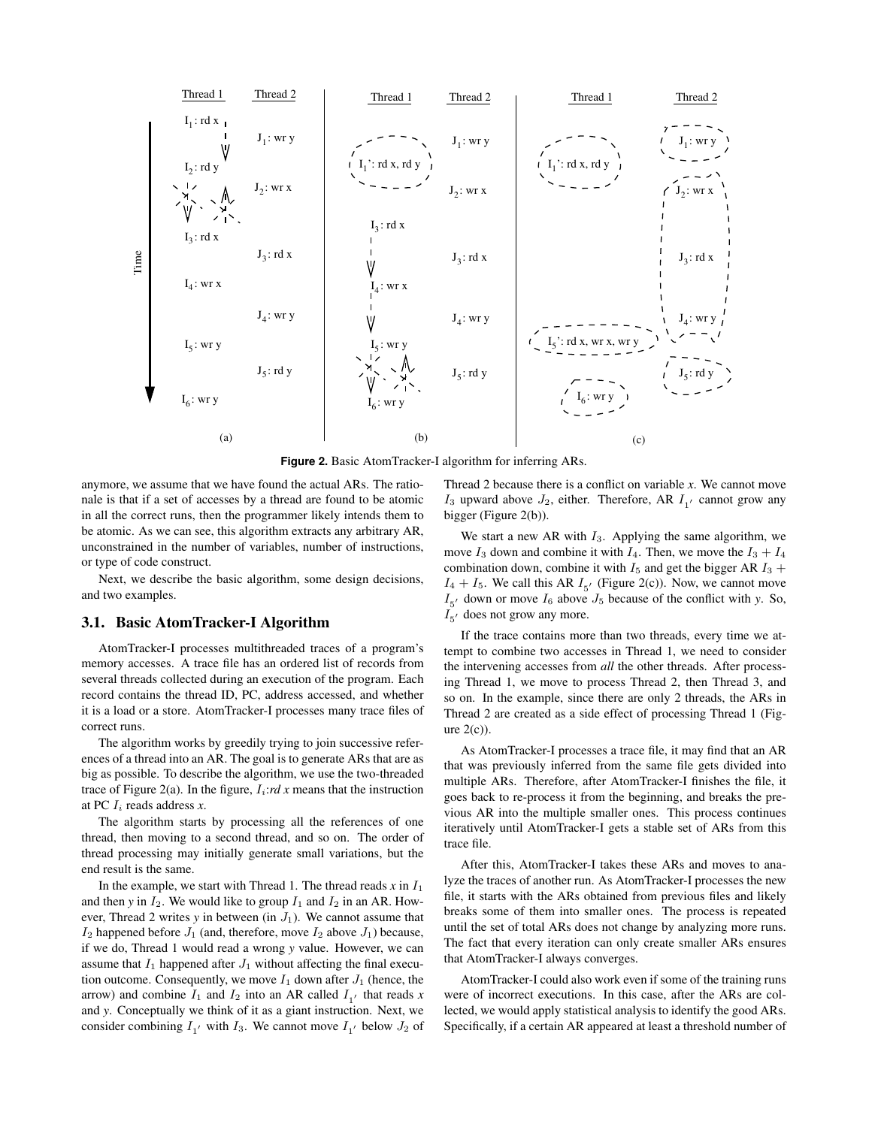

**Figure 2.** Basic AtomTracker-I algorithm for inferring ARs.

anymore, we assume that we have found the actual ARs. The rationale is that if a set of accesses by a thread are found to be atomic in all the correct runs, then the programmer likely intends them to be atomic. As we can see, this algorithm extracts any arbitrary AR, unconstrained in the number of variables, number of instructions, or type of code construct.

Next, we describe the basic algorithm, some design decisions, and two examples.

#### 3.1. Basic AtomTracker-I Algorithm

AtomTracker-I processes multithreaded traces of a program's memory accesses. A trace file has an ordered list of records from several threads collected during an execution of the program. Each record contains the thread ID, PC, address accessed, and whether it is a load or a store. AtomTracker-I processes many trace files of correct runs.

The algorithm works by greedily trying to join successive references of a thread into an AR. The goal is to generate ARs that are as big as possible. To describe the algorithm, we use the two-threaded trace of Figure 2(a). In the figure,  $I_i: r d x$  means that the instruction at PC I<sup>i</sup> reads address *x*.

The algorithm starts by processing all the references of one thread, then moving to a second thread, and so on. The order of thread processing may initially generate small variations, but the end result is the same.

In the example, we start with Thread 1. The thread reads  $x$  in  $I_1$ and then *y* in  $I_2$ . We would like to group  $I_1$  and  $I_2$  in an AR. However, Thread 2 writes  $y$  in between (in  $J_1$ ). We cannot assume that  $I_2$  happened before  $J_1$  (and, therefore, move  $I_2$  above  $J_1$ ) because, if we do, Thread 1 would read a wrong *y* value. However, we can assume that  $I_1$  happened after  $J_1$  without affecting the final execution outcome. Consequently, we move  $I_1$  down after  $J_1$  (hence, the arrow) and combine  $I_1$  and  $I_2$  into an AR called  $I_{1'}$  that reads x and *y*. Conceptually we think of it as a giant instruction. Next, we consider combining  $I_{1'}$  with  $I_3$ . We cannot move  $I_{1'}$  below  $J_2$  of Thread 2 because there is a conflict on variable *x*. We cannot move  $I_3$  upward above  $J_2$ , either. Therefore, AR  $I_{1'}$  cannot grow any bigger (Figure 2(b)).

We start a new AR with  $I_3$ . Applying the same algorithm, we move  $I_3$  down and combine it with  $I_4$ . Then, we move the  $I_3 + I_4$ combination down, combine it with  $I_5$  and get the bigger AR  $I_3$  +  $I_4 + I_5$ . We call this AR  $I_{5'}$  (Figure 2(c)). Now, we cannot move  $I_{5'}$  down or move  $I_6$  above  $J_5$  because of the conflict with *y*. So,  $I_{5'}$  does not grow any more.

If the trace contains more than two threads, every time we attempt to combine two accesses in Thread 1, we need to consider the intervening accesses from *all* the other threads. After processing Thread 1, we move to process Thread 2, then Thread 3, and so on. In the example, since there are only 2 threads, the ARs in Thread 2 are created as a side effect of processing Thread 1 (Figure  $2(c)$ ).

As AtomTracker-I processes a trace file, it may find that an AR that was previously inferred from the same file gets divided into multiple ARs. Therefore, after AtomTracker-I finishes the file, it goes back to re-process it from the beginning, and breaks the previous AR into the multiple smaller ones. This process continues iteratively until AtomTracker-I gets a stable set of ARs from this trace file.

After this, AtomTracker-I takes these ARs and moves to analyze the traces of another run. As AtomTracker-I processes the new file, it starts with the ARs obtained from previous files and likely breaks some of them into smaller ones. The process is repeated until the set of total ARs does not change by analyzing more runs. The fact that every iteration can only create smaller ARs ensures that AtomTracker-I always converges.

AtomTracker-I could also work even if some of the training runs were of incorrect executions. In this case, after the ARs are collected, we would apply statistical analysis to identify the good ARs. Specifically, if a certain AR appeared at least a threshold number of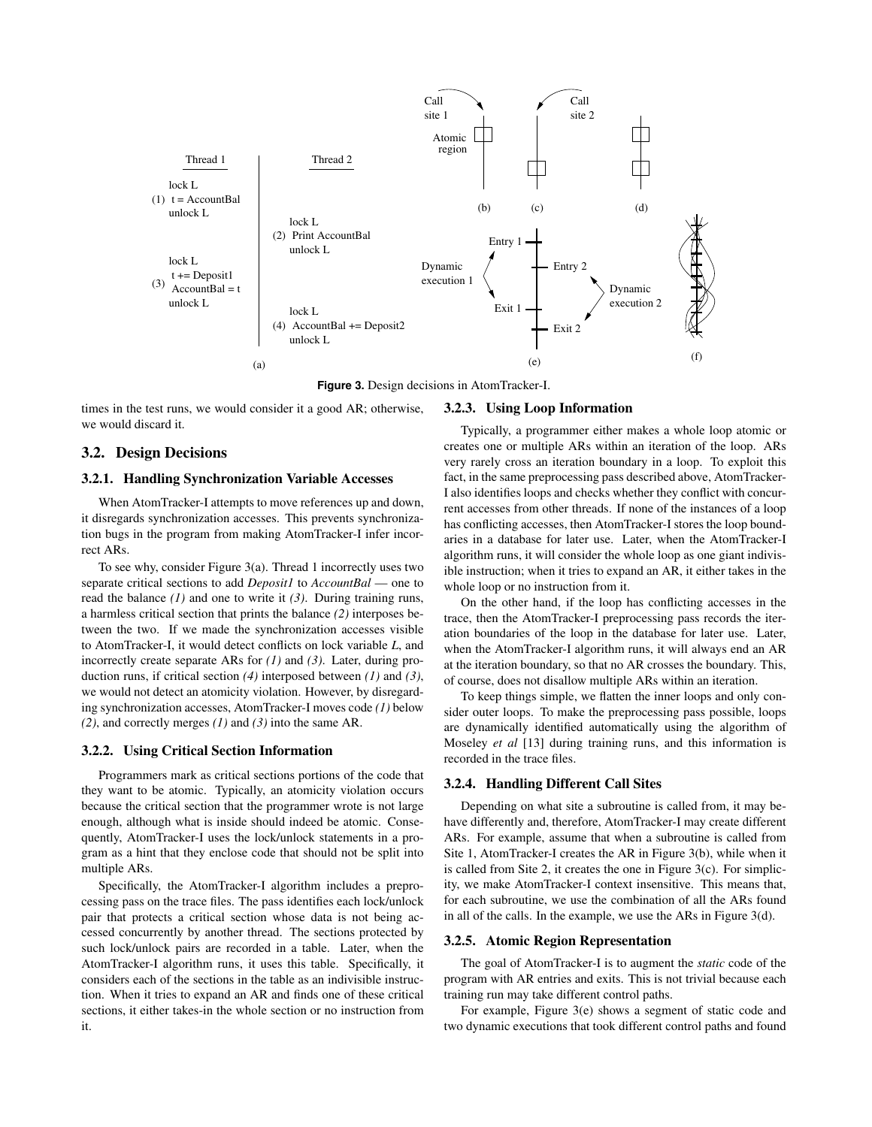

**Figure 3.** Design decisions in AtomTracker-I.

times in the test runs, we would consider it a good AR; otherwise, we would discard it.

#### 3.2. Design Decisions

#### 3.2.1. Handling Synchronization Variable Accesses

When AtomTracker-I attempts to move references up and down, it disregards synchronization accesses. This prevents synchronization bugs in the program from making AtomTracker-I infer incorrect ARs.

To see why, consider Figure 3(a). Thread 1 incorrectly uses two separate critical sections to add *Deposit1* to *AccountBal* — one to read the balance *(1)* and one to write it *(3)*. During training runs, a harmless critical section that prints the balance *(2)* interposes between the two. If we made the synchronization accesses visible to AtomTracker-I, it would detect conflicts on lock variable *L*, and incorrectly create separate ARs for *(1)* and *(3)*. Later, during production runs, if critical section *(4)* interposed between *(1)* and *(3)*, we would not detect an atomicity violation. However, by disregarding synchronization accesses, AtomTracker-I moves code *(1)* below *(2)*, and correctly merges *(1)* and *(3)* into the same AR.

#### 3.2.2. Using Critical Section Information

Programmers mark as critical sections portions of the code that they want to be atomic. Typically, an atomicity violation occurs because the critical section that the programmer wrote is not large enough, although what is inside should indeed be atomic. Consequently, AtomTracker-I uses the lock/unlock statements in a program as a hint that they enclose code that should not be split into multiple ARs.

Specifically, the AtomTracker-I algorithm includes a preprocessing pass on the trace files. The pass identifies each lock/unlock pair that protects a critical section whose data is not being accessed concurrently by another thread. The sections protected by such lock/unlock pairs are recorded in a table. Later, when the AtomTracker-I algorithm runs, it uses this table. Specifically, it considers each of the sections in the table as an indivisible instruction. When it tries to expand an AR and finds one of these critical sections, it either takes-in the whole section or no instruction from it.

#### 3.2.3. Using Loop Information

Typically, a programmer either makes a whole loop atomic or creates one or multiple ARs within an iteration of the loop. ARs very rarely cross an iteration boundary in a loop. To exploit this fact, in the same preprocessing pass described above, AtomTracker-I also identifies loops and checks whether they conflict with concurrent accesses from other threads. If none of the instances of a loop has conflicting accesses, then AtomTracker-I stores the loop boundaries in a database for later use. Later, when the AtomTracker-I algorithm runs, it will consider the whole loop as one giant indivisible instruction; when it tries to expand an AR, it either takes in the whole loop or no instruction from it.

On the other hand, if the loop has conflicting accesses in the trace, then the AtomTracker-I preprocessing pass records the iteration boundaries of the loop in the database for later use. Later, when the AtomTracker-I algorithm runs, it will always end an AR at the iteration boundary, so that no AR crosses the boundary. This, of course, does not disallow multiple ARs within an iteration.

To keep things simple, we flatten the inner loops and only consider outer loops. To make the preprocessing pass possible, loops are dynamically identified automatically using the algorithm of Moseley *et al* [13] during training runs, and this information is recorded in the trace files.

#### 3.2.4. Handling Different Call Sites

Depending on what site a subroutine is called from, it may behave differently and, therefore, AtomTracker-I may create different ARs. For example, assume that when a subroutine is called from Site 1, AtomTracker-I creates the AR in Figure 3(b), while when it is called from Site 2, it creates the one in Figure 3(c). For simplicity, we make AtomTracker-I context insensitive. This means that, for each subroutine, we use the combination of all the ARs found in all of the calls. In the example, we use the ARs in Figure 3(d).

#### 3.2.5. Atomic Region Representation

The goal of AtomTracker-I is to augment the *static* code of the program with AR entries and exits. This is not trivial because each training run may take different control paths.

For example, Figure 3(e) shows a segment of static code and two dynamic executions that took different control paths and found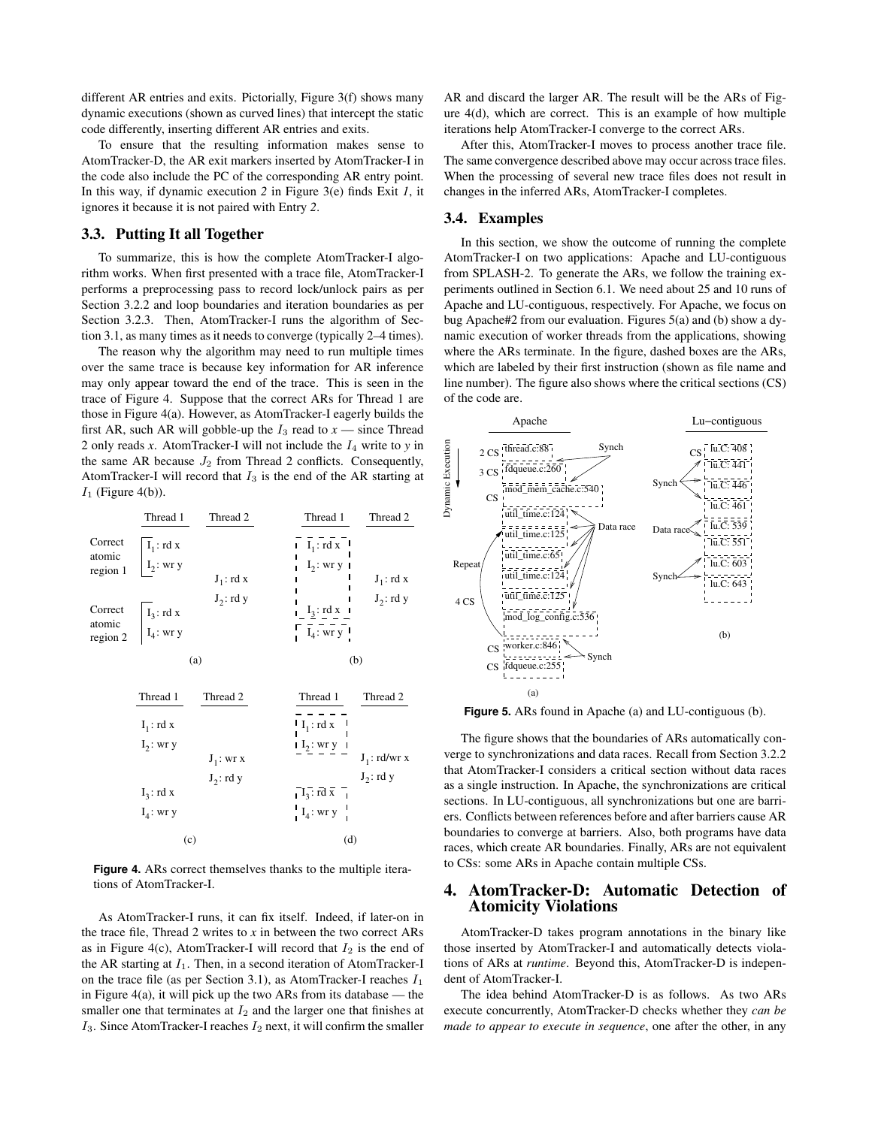different AR entries and exits. Pictorially, Figure 3(f) shows many dynamic executions (shown as curved lines) that intercept the static code differently, inserting different AR entries and exits.

To ensure that the resulting information makes sense to AtomTracker-D, the AR exit markers inserted by AtomTracker-I in the code also include the PC of the corresponding AR entry point. In this way, if dynamic execution *2* in Figure 3(e) finds Exit *1*, it ignores it because it is not paired with Entry *2*.

## 3.3. Putting It all Together

To summarize, this is how the complete AtomTracker-I algorithm works. When first presented with a trace file, AtomTracker-I performs a preprocessing pass to record lock/unlock pairs as per Section 3.2.2 and loop boundaries and iteration boundaries as per Section 3.2.3. Then, AtomTracker-I runs the algorithm of Section 3.1, as many times as it needs to converge (typically 2–4 times).

The reason why the algorithm may need to run multiple times over the same trace is because key information for AR inference may only appear toward the end of the trace. This is seen in the trace of Figure 4. Suppose that the correct ARs for Thread 1 are those in Figure 4(a). However, as AtomTracker-I eagerly builds the first AR, such AR will gobble-up the  $I_3$  read to  $x$  — since Thread 2 only reads *x*. AtomTracker-I will not include the I<sup>4</sup> write to *y* in the same AR because  $J_2$  from Thread 2 conflicts. Consequently, AtomTracker-I will record that  $I_3$  is the end of the AR starting at  $I_1$  (Figure 4(b)).

|                                                                | Thread 1                                                     | Thread 2                     | Thread 1                                                                                                     | Thread 2                     |
|----------------------------------------------------------------|--------------------------------------------------------------|------------------------------|--------------------------------------------------------------------------------------------------------------|------------------------------|
| Correct<br>atomic<br>region 1<br>Correct<br>atomic<br>region 2 | $I_1$ : rd x<br>$I_2$ : wr y<br>$I_3$ : rd x<br>$I_4$ : wr y | $J_1$ : rd x<br>$J_2$ : rd y | $I_1$ : rd x $^{-1}$<br>$I_2$ : wr y<br>$I_3$ : rd x<br>$\begin{bmatrix} 1 & - & - \\ 1 & 1 & \end{bmatrix}$ | $J_1$ : rd x<br>$J_2$ : rd y |
|                                                                | (a)                                                          |                              | (b)                                                                                                          |                              |
|                                                                | Thread 1<br>$I_1$ : rd x                                     | Thread 2                     | Thread 1<br>$\mathsf{I}_1$ : rd x                                                                            | Thread 2                     |
|                                                                | $I_2$ : wr y                                                 | $J_1$ : wr x                 | $L_2$ : wr y                                                                                                 | $J_1$ : rd/wr x              |
|                                                                | $I_3$ : rd x<br>$I_4$ : wr y                                 | $J_2$ : rd y                 | $\overline{1_3}$ : rd x $\overline{1}$<br>$\frac{1}{1}I_4$ : wr y $\frac{1}{1}$                              | $J_2$ : rd y                 |
|                                                                | (c)                                                          |                              | (d)                                                                                                          |                              |

**Figure 4.** ARs correct themselves thanks to the multiple iterations of AtomTracker-I.

As AtomTracker-I runs, it can fix itself. Indeed, if later-on in the trace file, Thread 2 writes to  $x$  in between the two correct ARs as in Figure 4(c), AtomTracker-I will record that  $I_2$  is the end of the AR starting at  $I_1$ . Then, in a second iteration of AtomTracker-I on the trace file (as per Section 3.1), as AtomTracker-I reaches  $I_1$ in Figure  $4(a)$ , it will pick up the two ARs from its database — the smaller one that terminates at  $I_2$  and the larger one that finishes at  $I_3$ . Since AtomTracker-I reaches  $I_2$  next, it will confirm the smaller AR and discard the larger AR. The result will be the ARs of Figure 4(d), which are correct. This is an example of how multiple iterations help AtomTracker-I converge to the correct ARs.

After this, AtomTracker-I moves to process another trace file. The same convergence described above may occur across trace files. When the processing of several new trace files does not result in changes in the inferred ARs, AtomTracker-I completes.

#### 3.4. Examples

In this section, we show the outcome of running the complete AtomTracker-I on two applications: Apache and LU-contiguous from SPLASH-2. To generate the ARs, we follow the training experiments outlined in Section 6.1. We need about 25 and 10 runs of Apache and LU-contiguous, respectively. For Apache, we focus on bug Apache#2 from our evaluation. Figures 5(a) and (b) show a dynamic execution of worker threads from the applications, showing where the ARs terminate. In the figure, dashed boxes are the ARs, which are labeled by their first instruction (shown as file name and line number). The figure also shows where the critical sections (CS) of the code are.



**Figure 5.** ARs found in Apache (a) and LU-contiguous (b).

The figure shows that the boundaries of ARs automatically converge to synchronizations and data races. Recall from Section 3.2.2 that AtomTracker-I considers a critical section without data races as a single instruction. In Apache, the synchronizations are critical sections. In LU-contiguous, all synchronizations but one are barriers. Conflicts between references before and after barriers cause AR boundaries to converge at barriers. Also, both programs have data races, which create AR boundaries. Finally, ARs are not equivalent to CSs: some ARs in Apache contain multiple CSs.

## 4. AtomTracker-D: Automatic Detection of Atomicity Violations

AtomTracker-D takes program annotations in the binary like those inserted by AtomTracker-I and automatically detects violations of ARs at *runtime*. Beyond this, AtomTracker-D is independent of AtomTracker-I.

The idea behind AtomTracker-D is as follows. As two ARs execute concurrently, AtomTracker-D checks whether they *can be made to appear to execute in sequence*, one after the other, in any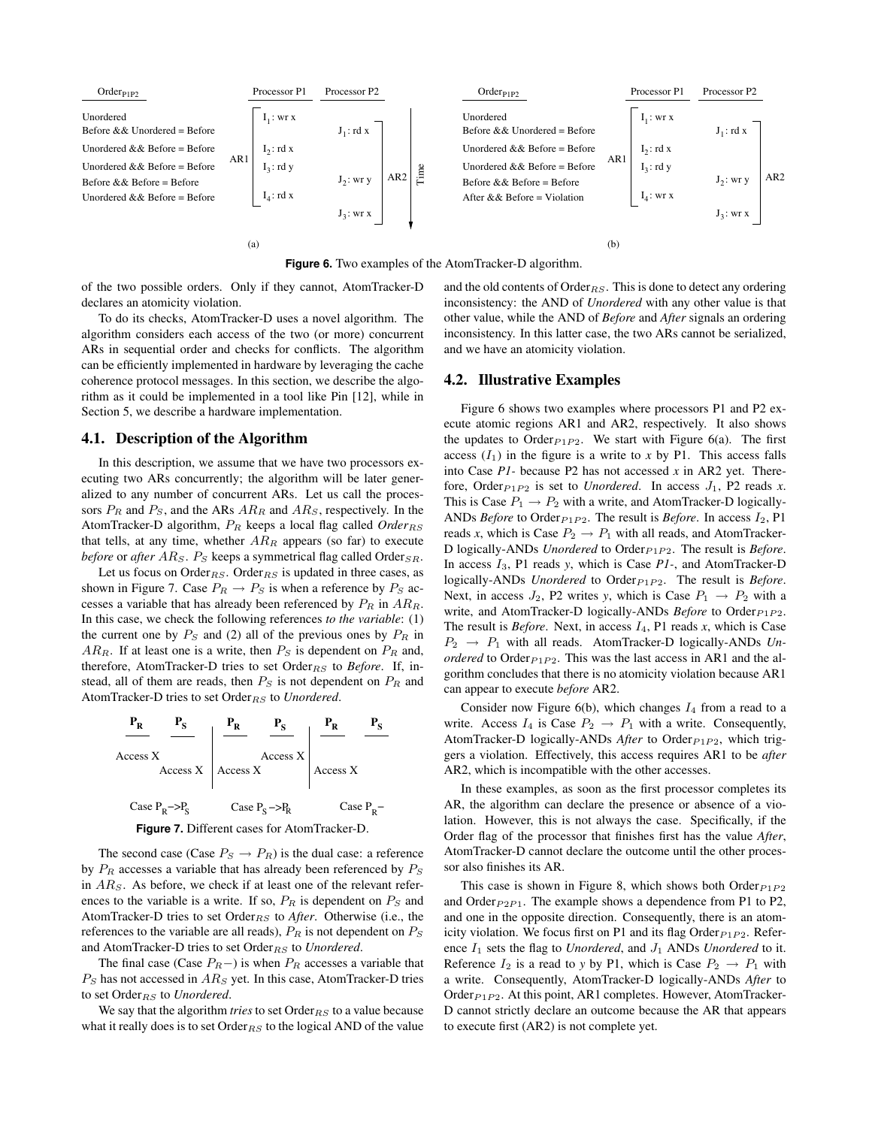



of the two possible orders. Only if they cannot, AtomTracker-D declares an atomicity violation.

To do its checks, AtomTracker-D uses a novel algorithm. The algorithm considers each access of the two (or more) concurrent ARs in sequential order and checks for conflicts. The algorithm can be efficiently implemented in hardware by leveraging the cache coherence protocol messages. In this section, we describe the algorithm as it could be implemented in a tool like Pin [12], while in Section 5, we describe a hardware implementation.

#### 4.1. Description of the Algorithm

In this description, we assume that we have two processors executing two ARs concurrently; the algorithm will be later generalized to any number of concurrent ARs. Let us call the processors  $P_R$  and  $P_S$ , and the ARs  $AR_R$  and  $AR_S$ , respectively. In the AtomTracker-D algorithm,  $P_R$  keeps a local flag called *Order<sub>RS</sub>* that tells, at any time, whether  $AR_R$  appears (so far) to execute *before* or *after*  $AR_S$ .  $P_S$  keeps a symmetrical flag called Order $_{SR}$ .

Let us focus on  $Order_{RS}$ . Order<sub>RS</sub> is updated in three cases, as shown in Figure 7. Case  $P_R \rightarrow P_S$  is when a reference by  $P_S$  accesses a variable that has already been referenced by  $P_R$  in  $AR_R$ . In this case, we check the following references *to the variable*: (1) the current one by  $P_S$  and (2) all of the previous ones by  $P_R$  in  $AR_R$ . If at least one is a write, then  $P_S$  is dependent on  $P_R$  and, therefore, AtomTracker-D tries to set Order<sub>RS</sub> to Before. If, instead, all of them are reads, then  $P_S$  is not dependent on  $P_R$  and AtomTracker-D tries to set Order<sub>RS</sub> to *Unordered*.





The second case (Case  $P_S \rightarrow P_R$ ) is the dual case: a reference by  $P_R$  accesses a variable that has already been referenced by  $P_S$ in  $AR<sub>S</sub>$ . As before, we check if at least one of the relevant references to the variable is a write. If so,  $P_R$  is dependent on  $P_S$  and AtomTracker-D tries to set Order<sub>RS</sub> to *After*. Otherwise (i.e., the references to the variable are all reads),  $P_R$  is not dependent on  $P_S$ and AtomTracker-D tries to set Order<sub>RS</sub> to *Unordered*.

The final case (Case  $P_R-$ ) is when  $P_R$  accesses a variable that  $P<sub>S</sub>$  has not accessed in  $AR<sub>S</sub>$  yet. In this case, AtomTracker-D tries to set Order<sub>RS</sub> to *Unordered*.

We say that the algorithm *tries* to set  $Order_{RS}$  to a value because what it really does is to set  $Order_{RS}$  to the logical AND of the value and the old contents of  $Order_{RS}$ . This is done to detect any ordering inconsistency: the AND of *Unordered* with any other value is that other value, while the AND of *Before* and *After* signals an ordering inconsistency. In this latter case, the two ARs cannot be serialized, and we have an atomicity violation.

#### 4.2. Illustrative Examples

Figure 6 shows two examples where processors P1 and P2 execute atomic regions AR1 and AR2, respectively. It also shows the updates to Order $P_1P_2$ . We start with Figure 6(a). The first access  $(I_1)$  in the figure is a write to *x* by P1. This access falls into Case *P1-* because P2 has not accessed *x* in AR2 yet. Therefore, Order $_{P_1P_2}$  is set to *Unordered*. In access  $J_1$ , P2 reads  $x$ . This is Case  $P_1 \rightarrow P_2$  with a write, and AtomTracker-D logically-ANDs *Before* to Order $_{P_1P_2}$ . The result is *Before*. In access  $I_2$ , P1 reads *x*, which is Case  $P_2 \rightarrow P_1$  with all reads, and AtomTracker-D logically-ANDs *Unordered* to Order<sub>P1P2</sub>. The result is *Before*. In access I3, P1 reads *y*, which is Case *P1-*, and AtomTracker-D logically-ANDs *Unordered* to Order<sub>P1P2</sub>. The result is *Before*. Next, in access  $J_2$ , P2 writes y, which is Case  $P_1 \rightarrow P_2$  with a write, and AtomTracker-D logically-ANDs *Before* to Order<sub>P1P2</sub>. The result is *Before*. Next, in access  $I_4$ , P1 reads *x*, which is Case  $P_2 \rightarrow P_1$  with all reads. AtomTracker-D logically-ANDs Un*ordered* to Order $_{P_1P_2}$ . This was the last access in AR1 and the algorithm concludes that there is no atomicity violation because AR1 can appear to execute *before* AR2.

Consider now Figure 6(b), which changes  $I_4$  from a read to a write. Access  $I_4$  is Case  $P_2 \rightarrow P_1$  with a write. Consequently, AtomTracker-D logically-ANDs *After* to Order<sub>P1P2</sub>, which triggers a violation. Effectively, this access requires AR1 to be *after* AR2, which is incompatible with the other accesses.

In these examples, as soon as the first processor completes its AR, the algorithm can declare the presence or absence of a violation. However, this is not always the case. Specifically, if the Order flag of the processor that finishes first has the value *After*, AtomTracker-D cannot declare the outcome until the other processor also finishes its AR.

This case is shown in Figure 8, which shows both  $Order_{P_1P_2}$ and Order $_{P2P_1}$ . The example shows a dependence from P1 to P2, and one in the opposite direction. Consequently, there is an atomicity violation. We focus first on P1 and its flag Order $_{P1P2}$ . Reference  $I_1$  sets the flag to *Unordered*, and  $J_1$  ANDs *Unordered* to it. Reference  $I_2$  is a read to *y* by P1, which is Case  $P_2 \rightarrow P_1$  with a write. Consequently, AtomTracker-D logically-ANDs *After* to Order $P_1P_2$ . At this point, AR1 completes. However, AtomTracker-D cannot strictly declare an outcome because the AR that appears to execute first (AR2) is not complete yet.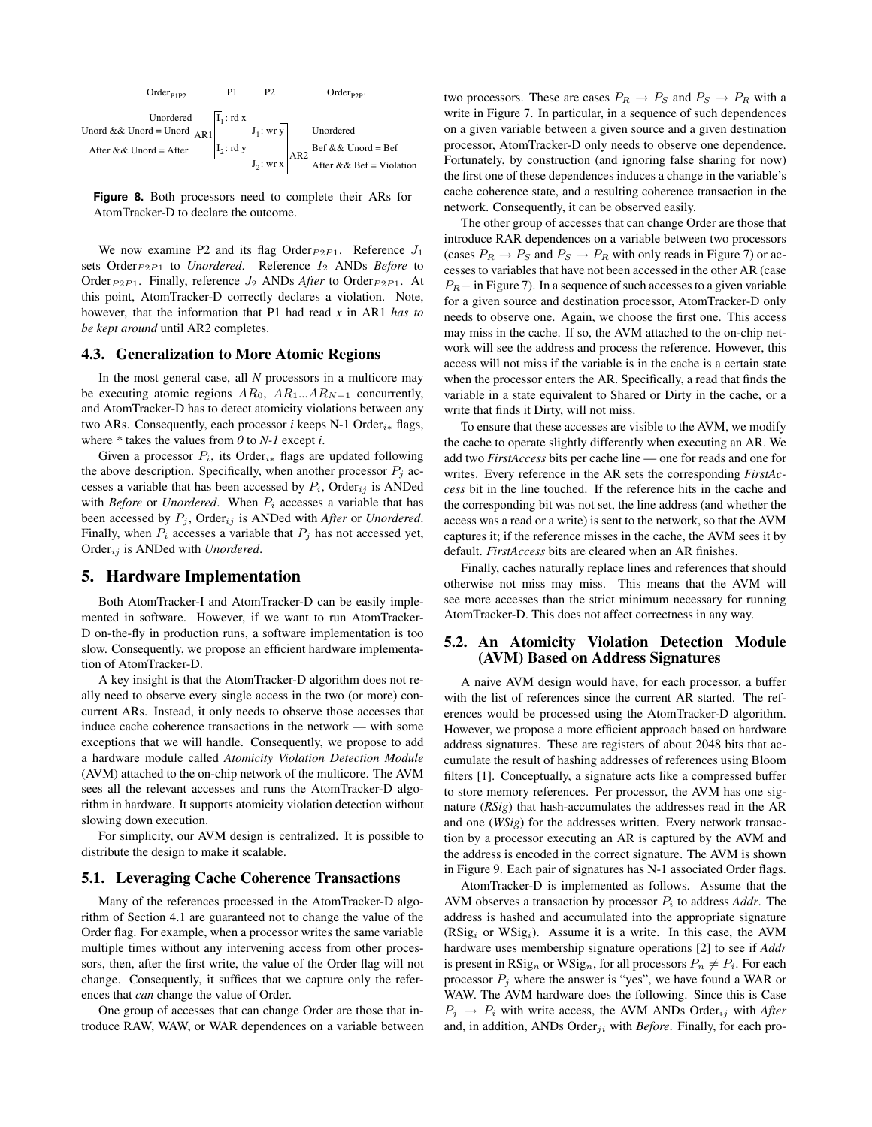

**Figure 8.** Both processors need to complete their ARs for AtomTracker-D to declare the outcome.

We now examine P2 and its flag Order $_{P2P1}$ . Reference  $J_1$ sets Order<sub>P2P1</sub> to *Unordered*. Reference I<sub>2</sub> ANDs *Before* to Order<sub>P2P1</sub>. Finally, reference  $J_2$  ANDs *After* to Order<sub>P2P1</sub>. At this point, AtomTracker-D correctly declares a violation. Note, however, that the information that P1 had read *x* in AR1 *has to be kept around* until AR2 completes.

#### 4.3. Generalization to More Atomic Regions

In the most general case, all *N* processors in a multicore may be executing atomic regions  $AR_0$ ,  $AR_1...AR_{N-1}$  concurrently, and AtomTracker-D has to detect atomicity violations between any two ARs. Consequently, each processor *i* keeps N-1 Order<sub>i∗</sub> flags, where *\** takes the values from *0* to *N-1* except *i*.

Given a processor  $P_i$ , its Order<sub>i\*</sub> flags are updated following the above description. Specifically, when another processor  $P_j$  accesses a variable that has been accessed by  $P_i$ , Order<sub>ij</sub> is ANDed with *Before* or *Unordered*. When  $P_i$  accesses a variable that has been accessed by  $P_j$ , Order<sub>ij</sub> is ANDed with *After* or *Unordered*. Finally, when  $P_i$  accesses a variable that  $P_i$  has not accessed yet, Order<sub>ij</sub> is ANDed with *Unordered*.

#### 5. Hardware Implementation

Both AtomTracker-I and AtomTracker-D can be easily implemented in software. However, if we want to run AtomTracker-D on-the-fly in production runs, a software implementation is too slow. Consequently, we propose an efficient hardware implementation of AtomTracker-D.

A key insight is that the AtomTracker-D algorithm does not really need to observe every single access in the two (or more) concurrent ARs. Instead, it only needs to observe those accesses that induce cache coherence transactions in the network — with some exceptions that we will handle. Consequently, we propose to add a hardware module called *Atomicity Violation Detection Module* (AVM) attached to the on-chip network of the multicore. The AVM sees all the relevant accesses and runs the AtomTracker-D algorithm in hardware. It supports atomicity violation detection without slowing down execution.

For simplicity, our AVM design is centralized. It is possible to distribute the design to make it scalable.

#### 5.1. Leveraging Cache Coherence Transactions

Many of the references processed in the AtomTracker-D algorithm of Section 4.1 are guaranteed not to change the value of the Order flag. For example, when a processor writes the same variable multiple times without any intervening access from other processors, then, after the first write, the value of the Order flag will not change. Consequently, it suffices that we capture only the references that *can* change the value of Order.

One group of accesses that can change Order are those that introduce RAW, WAW, or WAR dependences on a variable between

two processors. These are cases  $P_R \to P_S$  and  $P_S \to P_R$  with a write in Figure 7. In particular, in a sequence of such dependences on a given variable between a given source and a given destination processor, AtomTracker-D only needs to observe one dependence. Fortunately, by construction (and ignoring false sharing for now) the first one of these dependences induces a change in the variable's cache coherence state, and a resulting coherence transaction in the network. Consequently, it can be observed easily.

The other group of accesses that can change Order are those that introduce RAR dependences on a variable between two processors (cases  $P_R \rightarrow P_S$  and  $P_S \rightarrow P_R$  with only reads in Figure 7) or accesses to variables that have not been accessed in the other AR (case  $P_R$ − in Figure 7). In a sequence of such accesses to a given variable for a given source and destination processor, AtomTracker-D only needs to observe one. Again, we choose the first one. This access may miss in the cache. If so, the AVM attached to the on-chip network will see the address and process the reference. However, this access will not miss if the variable is in the cache is a certain state when the processor enters the AR. Specifically, a read that finds the variable in a state equivalent to Shared or Dirty in the cache, or a write that finds it Dirty, will not miss.

To ensure that these accesses are visible to the AVM, we modify the cache to operate slightly differently when executing an AR. We add two *FirstAccess* bits per cache line — one for reads and one for writes. Every reference in the AR sets the corresponding *FirstAccess* bit in the line touched. If the reference hits in the cache and the corresponding bit was not set, the line address (and whether the access was a read or a write) is sent to the network, so that the AVM captures it; if the reference misses in the cache, the AVM sees it by default. *FirstAccess* bits are cleared when an AR finishes.

Finally, caches naturally replace lines and references that should otherwise not miss may miss. This means that the AVM will see more accesses than the strict minimum necessary for running AtomTracker-D. This does not affect correctness in any way.

## 5.2. An Atomicity Violation Detection Module (AVM) Based on Address Signatures

A naive AVM design would have, for each processor, a buffer with the list of references since the current AR started. The references would be processed using the AtomTracker-D algorithm. However, we propose a more efficient approach based on hardware address signatures. These are registers of about 2048 bits that accumulate the result of hashing addresses of references using Bloom filters [1]. Conceptually, a signature acts like a compressed buffer to store memory references. Per processor, the AVM has one signature (*RSig*) that hash-accumulates the addresses read in the AR and one (*WSig*) for the addresses written. Every network transaction by a processor executing an AR is captured by the AVM and the address is encoded in the correct signature. The AVM is shown in Figure 9. Each pair of signatures has N-1 associated Order flags.

AtomTracker-D is implemented as follows. Assume that the AVM observes a transaction by processor  $P_i$  to address *Addr*. The address is hashed and accumulated into the appropriate signature  $(RSig_i \text{ or } WSig_i)$ . Assume it is a write. In this case, the AVM hardware uses membership signature operations [2] to see if *Addr* is present in RSig<sub>n</sub> or WSig<sub>n</sub>, for all processors  $P_n \neq P_i$ . For each processor  $P_j$  where the answer is "yes", we have found a WAR or WAW. The AVM hardware does the following. Since this is Case  $P_j \rightarrow P_i$  with write access, the AVM ANDs Order<sub>ij</sub> with *After* and, in addition, ANDs Order<sub>ji</sub> with  $Before$ . Finally, for each pro-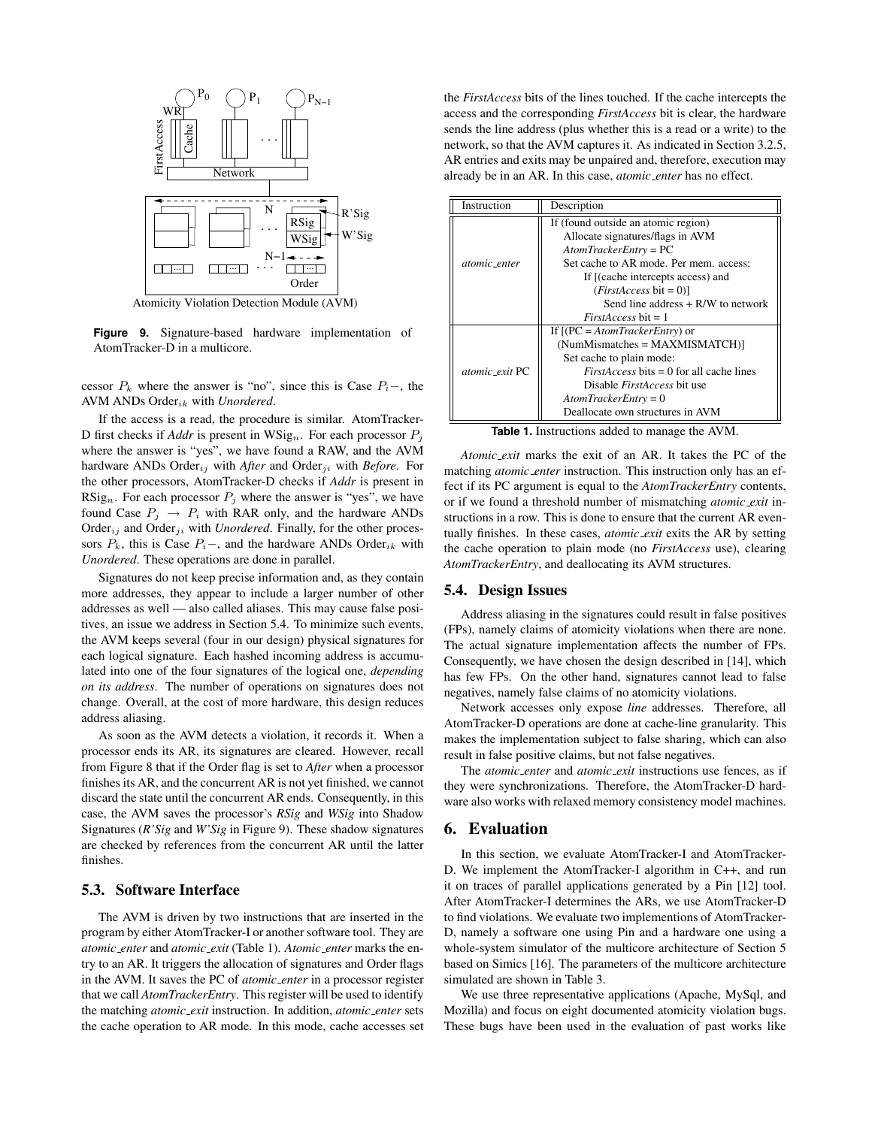

Atomicity Violation Detection Module (AVM)

**Figure 9.** Signature-based hardware implementation of AtomTracker-D in a multicore.

cessor  $P_k$  where the answer is "no", since this is Case  $P_i$  –, the AVM ANDs Orderik with *Unordered*.

If the access is a read, the procedure is similar. AtomTracker-D first checks if *Addr* is present in  $W{\rm Sign}$ . For each processor  $P_i$ where the answer is "yes", we have found a RAW, and the AVM hardware ANDs Order<sub>ij</sub> with *After* and Order<sub>ji</sub> with *Before*. For the other processors, AtomTracker-D checks if *Addr* is present in RSig<sub>n</sub>. For each processor  $P_j$  where the answer is "yes", we have found Case  $P_j \rightarrow P_i$  with RAR only, and the hardware ANDs Order<sub>ij</sub> and Order<sub>ji</sub> with *Unordered*. Finally, for the other processors  $P_k$ , this is Case  $P_i$  –, and the hardware ANDs Order<sub>ik</sub> with *Unordered*. These operations are done in parallel.

Signatures do not keep precise information and, as they contain more addresses, they appear to include a larger number of other addresses as well — also called aliases. This may cause false positives, an issue we address in Section 5.4. To minimize such events, the AVM keeps several (four in our design) physical signatures for each logical signature. Each hashed incoming address is accumulated into one of the four signatures of the logical one, *depending on its address*. The number of operations on signatures does not change. Overall, at the cost of more hardware, this design reduces address aliasing.

As soon as the AVM detects a violation, it records it. When a processor ends its AR, its signatures are cleared. However, recall from Figure 8 that if the Order flag is set to *After* when a processor finishes its AR, and the concurrent AR is not yet finished, we cannot discard the state until the concurrent AR ends. Consequently, in this case, the AVM saves the processor's *RSig* and *WSig* into Shadow Signatures (*R'Sig* and *W'Sig* in Figure 9). These shadow signatures are checked by references from the concurrent AR until the latter finishes.

# 5.3. Software Interface

The AVM is driven by two instructions that are inserted in the program by either AtomTracker-I or another software tool. They are *atomic enter* and *atomic exit* (Table 1). *Atomic enter* marks the entry to an AR. It triggers the allocation of signatures and Order flags in the AVM. It saves the PC of *atomic enter* in a processor register that we call *AtomTrackerEntry*. This register will be used to identify the matching *atomic exit* instruction. In addition, *atomic enter* sets the cache operation to AR mode. In this mode, cache accesses set the *FirstAccess* bits of the lines touched. If the cache intercepts the access and the corresponding *FirstAccess* bit is clear, the hardware sends the line address (plus whether this is a read or a write) to the network, so that the AVM captures it. As indicated in Section 3.2.5, AR entries and exits may be unpaired and, therefore, execution may already be in an AR. In this case, *atomic enter* has no effect.

| Instruction         | Description                                 |  |  |
|---------------------|---------------------------------------------|--|--|
|                     | If (found outside an atomic region)         |  |  |
|                     | Allocate signatures/flags in AVM            |  |  |
|                     | $AtomTrackerEntry = PC$                     |  |  |
| <i>atomic enter</i> | Set cache to AR mode. Per mem. access:      |  |  |
|                     | If [(cache intercepts access) and           |  |  |
|                     | $(FirstAccess bit = 0)$ ]                   |  |  |
|                     | Send line address $+ R/W$ to network        |  |  |
|                     | $FirstAccess$ bit = 1                       |  |  |
|                     | If $[(PC = AtomTrackerEntry)$ or            |  |  |
|                     | $(NumMismatches = MAXMISMATCH)$             |  |  |
|                     | Set cache to plain mode:                    |  |  |
| atomic_exit PC      | $First Access$ bits = 0 for all cache lines |  |  |
|                     | Disable <i>FirstAccess</i> bit use          |  |  |
|                     | $AtomTrackerEntry = 0$                      |  |  |
|                     | Deallocate own structures in AVM            |  |  |

**Table 1.** Instructions added to manage the AVM.

*Atomic exit* marks the exit of an AR. It takes the PC of the matching *atomic enter* instruction. This instruction only has an effect if its PC argument is equal to the *AtomTrackerEntry* contents, or if we found a threshold number of mismatching *atomic exit* instructions in a row. This is done to ensure that the current AR eventually finishes. In these cases, *atomic\_exit* exits the AR by setting the cache operation to plain mode (no *FirstAccess* use), clearing *AtomTrackerEntry*, and deallocating its AVM structures.

## 5.4. Design Issues

Address aliasing in the signatures could result in false positives (FPs), namely claims of atomicity violations when there are none. The actual signature implementation affects the number of FPs. Consequently, we have chosen the design described in [14], which has few FPs. On the other hand, signatures cannot lead to false negatives, namely false claims of no atomicity violations.

Network accesses only expose *line* addresses. Therefore, all AtomTracker-D operations are done at cache-line granularity. This makes the implementation subject to false sharing, which can also result in false positive claims, but not false negatives.

The *atomic enter* and *atomic exit* instructions use fences, as if they were synchronizations. Therefore, the AtomTracker-D hardware also works with relaxed memory consistency model machines.

#### 6. Evaluation

In this section, we evaluate AtomTracker-I and AtomTracker-D. We implement the AtomTracker-I algorithm in C++, and run it on traces of parallel applications generated by a Pin [12] tool. After AtomTracker-I determines the ARs, we use AtomTracker-D to find violations. We evaluate two implementions of AtomTracker-D, namely a software one using Pin and a hardware one using a whole-system simulator of the multicore architecture of Section 5 based on Simics [16]. The parameters of the multicore architecture simulated are shown in Table 3.

We use three representative applications (Apache, MySql, and Mozilla) and focus on eight documented atomicity violation bugs. These bugs have been used in the evaluation of past works like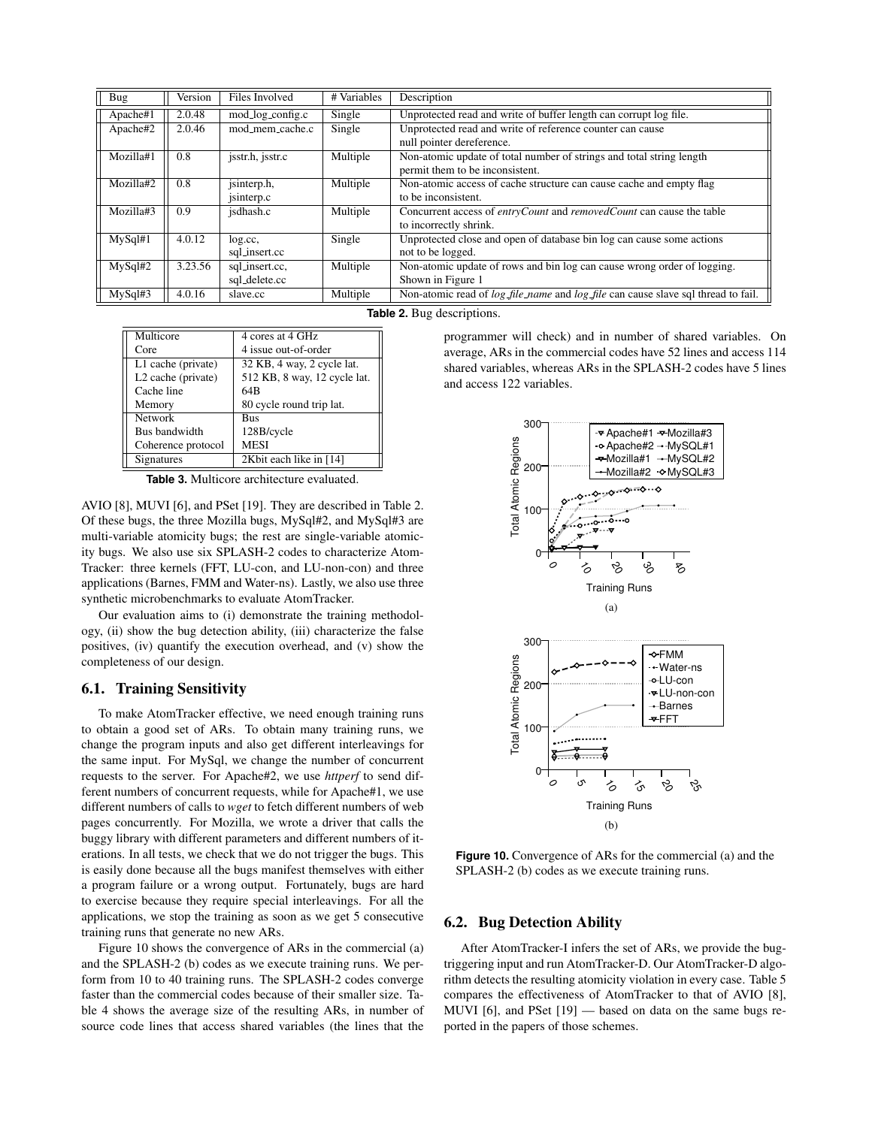| Bug       | Version | Files Involved   | # Variables | Description                                                                                     |
|-----------|---------|------------------|-------------|-------------------------------------------------------------------------------------------------|
| Apache#1  | 2.0.48  | mod_log_config.c | Single      | Unprotected read and write of buffer length can corrupt log file.                               |
| Apache#2  | 2.0.46  | mod_mem_cache.c  | Single      | Unprotected read and write of reference counter can cause                                       |
|           |         |                  |             | null pointer dereference.                                                                       |
| Mozilla#1 | 0.8     | jsstr.h, jsstr.c | Multiple    | Non-atomic update of total number of strings and total string length                            |
|           |         |                  |             | permit them to be inconsistent.                                                                 |
| Mozilla#2 | 0.8     | jsinterp.h,      | Multiple    | Non-atomic access of cache structure can cause cache and empty flag                             |
|           |         | jsinterp.c       |             | to be inconsistent.                                                                             |
| Mozilla#3 | 0.9     | jsdhash.c        | Multiple    | Concurrent access of <i>entryCount</i> and <i>removedCount</i> can cause the table              |
|           |         |                  |             | to incorrectly shrink.                                                                          |
| MySqI#1   | 4.0.12  | $log.cc$ ,       | Single      | Unprotected close and open of database bin log can cause some actions                           |
|           |         | sql_insert.cc    |             | not to be logged.                                                                               |
| MySql#2   | 3.23.56 | sql_insert.cc,   | Multiple    | Non-atomic update of rows and bin log can cause wrong order of logging.                         |
|           |         | sql_delete.cc    |             | Shown in Figure 1                                                                               |
| MySql#3   | 4.0.16  | slave.cc         | Multiple    | Non-atomic read of <i>log_file_name</i> and <i>log_file</i> can cause slave sql thread to fail. |

**Table 2.** Bug descriptions.

Щ

| Multicore          | 4 cores at 4 GHz             |
|--------------------|------------------------------|
| Core               | 4 issue out-of-order         |
| L1 cache (private) | 32 KB, 4 way, 2 cycle lat.   |
| L2 cache (private) | 512 KB, 8 way, 12 cycle lat. |
| Cache line         | 64 <sub>B</sub>              |
| Memory             | 80 cycle round trip lat.     |
| <b>Network</b>     | <b>Bus</b>                   |
| Bus bandwidth      | 128B/cycle                   |
| Coherence protocol | <b>MESI</b>                  |
| Signatures         | 2Kbit each like in [14]      |

**Table 3.** Multicore architecture evaluated.

AVIO [8], MUVI [6], and PSet [19]. They are described in Table 2. Of these bugs, the three Mozilla bugs, MySql#2, and MySql#3 are multi-variable atomicity bugs; the rest are single-variable atomicity bugs. We also use six SPLASH-2 codes to characterize Atom-Tracker: three kernels (FFT, LU-con, and LU-non-con) and three applications (Barnes, FMM and Water-ns). Lastly, we also use three synthetic microbenchmarks to evaluate AtomTracker.

Our evaluation aims to (i) demonstrate the training methodology, (ii) show the bug detection ability, (iii) characterize the false positives, (iv) quantify the execution overhead, and (v) show the completeness of our design.

# 6.1. Training Sensitivity

To make AtomTracker effective, we need enough training runs to obtain a good set of ARs. To obtain many training runs, we change the program inputs and also get different interleavings for the same input. For MySql, we change the number of concurrent requests to the server. For Apache#2, we use *httperf* to send different numbers of concurrent requests, while for Apache#1, we use different numbers of calls to *wget* to fetch different numbers of web pages concurrently. For Mozilla, we wrote a driver that calls the buggy library with different parameters and different numbers of iterations. In all tests, we check that we do not trigger the bugs. This is easily done because all the bugs manifest themselves with either a program failure or a wrong output. Fortunately, bugs are hard to exercise because they require special interleavings. For all the applications, we stop the training as soon as we get 5 consecutive training runs that generate no new ARs.

Figure 10 shows the convergence of ARs in the commercial (a) and the SPLASH-2 (b) codes as we execute training runs. We perform from 10 to 40 training runs. The SPLASH-2 codes converge faster than the commercial codes because of their smaller size. Table 4 shows the average size of the resulting ARs, in number of source code lines that access shared variables (the lines that the

programmer will check) and in number of shared variables. On average, ARs in the commercial codes have 52 lines and access 114 shared variables, whereas ARs in the SPLASH-2 codes have 5 lines and access 122 variables.



**Figure 10.** Convergence of ARs for the commercial (a) and the SPLASH-2 (b) codes as we execute training runs.

## 6.2. Bug Detection Ability

After AtomTracker-I infers the set of ARs, we provide the bugtriggering input and run AtomTracker-D. Our AtomTracker-D algorithm detects the resulting atomicity violation in every case. Table 5 compares the effectiveness of AtomTracker to that of AVIO [8], MUVI [6], and PSet [19] — based on data on the same bugs reported in the papers of those schemes.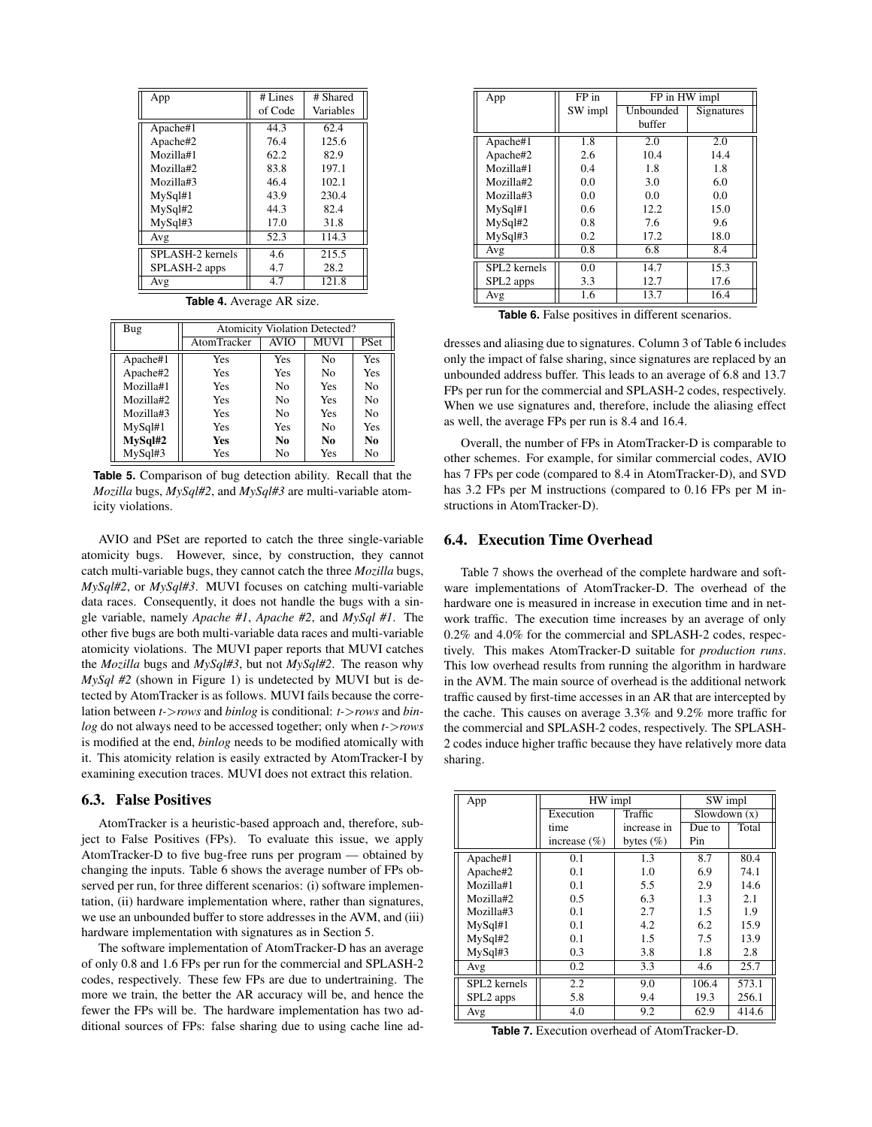| App              | $#$ Lines | # Shared  |
|------------------|-----------|-----------|
|                  | of Code   | Variables |
| Apache#1         | 44.3      | 62.4      |
| Apache#2         | 76.4      | 125.6     |
| Mozilla#1        | 62.2      | 82.9      |
| Mozilla#2        | 83.8      | 197.1     |
| Mozilla#3        | 46.4      | 102.1     |
| MySq1#1          | 43.9      | 230.4     |
| MySql#2          | 44.3      | 82.4      |
| MySql#3          | 17.0      | 31.8      |
| Avg              | 52.3      | 114.3     |
| SPLASH-2 kernels | 46        | 215.5     |
| SPLASH-2 apps    | 4.7       | 28.2      |
| Avg              | 4.7       | 121.8     |

**Table 4.** Average AR size.

| Bug       | <b>Atomicity Violation Detected?</b> |             |                |      |  |
|-----------|--------------------------------------|-------------|----------------|------|--|
|           | AtomTracker                          | <b>AVIO</b> | <b>MUVI</b>    | PSet |  |
| Apache#1  | Yes                                  | Yes         | No             | Yes  |  |
| Apache#2  | Yes                                  | Yes         | N <sub>0</sub> | Yes  |  |
| Mozilla#1 | Yes                                  | No          | Yes            | No   |  |
| Mozilla#2 | Yes                                  | No          | Yes            | No   |  |
| Mozilla#3 | Yes                                  | No          | Yes            | No   |  |
| MySq1#1   | Yes                                  | Yes         | N <sub>0</sub> | Yes  |  |
| MvSqH2    | Yes                                  | No          | No             | No   |  |
| MySql#3   | Yes                                  | No          | Yes            | No   |  |

**Table 5.** Comparison of bug detection ability. Recall that the *Mozilla* bugs, *MySql#2*, and *MySql#3* are multi-variable atomicity violations.

AVIO and PSet are reported to catch the three single-variable atomicity bugs. However, since, by construction, they cannot catch multi-variable bugs, they cannot catch the three *Mozilla* bugs, *MySql#2*, or *MySql#3*. MUVI focuses on catching multi-variable data races. Consequently, it does not handle the bugs with a single variable, namely *Apache #1*, *Apache #2*, and *MySql #1*. The other five bugs are both multi-variable data races and multi-variable atomicity violations. The MUVI paper reports that MUVI catches the *Mozilla* bugs and *MySql#3*, but not *MySql#2*. The reason why *MySql #2* (shown in Figure 1) is undetected by MUVI but is detected by AtomTracker is as follows. MUVI fails because the correlation between *t-*>*rows* and *binlog* is conditional: *t-*>*rows* and *binlog* do not always need to be accessed together; only when *t-*>*rows* is modified at the end, *binlog* needs to be modified atomically with it. This atomicity relation is easily extracted by AtomTracker-I by examining execution traces. MUVI does not extract this relation.

## 6.3. False Positives

AtomTracker is a heuristic-based approach and, therefore, subject to False Positives (FPs). To evaluate this issue, we apply AtomTracker-D to five bug-free runs per program — obtained by changing the inputs. Table 6 shows the average number of FPs observed per run, for three different scenarios: (i) software implementation, (ii) hardware implementation where, rather than signatures, we use an unbounded buffer to store addresses in the AVM, and (iii) hardware implementation with signatures as in Section 5.

The software implementation of AtomTracker-D has an average of only 0.8 and 1.6 FPs per run for the commercial and SPLASH-2 codes, respectively. These few FPs are due to undertraining. The more we train, the better the AR accuracy will be, and hence the fewer the FPs will be. The hardware implementation has two additional sources of FPs: false sharing due to using cache line ad-

| App                      | FP in         | FP in HW impl |            |  |
|--------------------------|---------------|---------------|------------|--|
|                          | SW impl       | Unbounded     | Signatures |  |
|                          |               | buffer        |            |  |
| Apache#1                 | 1.8           | 2.0           | 2.0        |  |
| Apache#2                 | 2.6           | 10.4          | 14.4       |  |
| Mozilla#1                | 0.4           | 1.8           | 1.8        |  |
| Mozilla#2                | 0.0           | 3.0           | 6.0        |  |
| Mozilla#3                | 0.0           | 0.0           | 0.0        |  |
| MySq1#1                  | $0.6^{\circ}$ | 12.2          | 15.0       |  |
| MySql#2                  | 0.8           | 7.6           | 9.6        |  |
| MySql#3                  | 0.2           | 17.2          | 18.0       |  |
| Avg                      | 0.8           | 6.8           | 8.4        |  |
| SPL <sub>2</sub> kernels | 0.0           | 14.7          | 15.3       |  |
| SPL2 apps                | 3.3           | 12.7          | 17.6       |  |
| Avg                      | 1.6           | 13.7          | 16.4       |  |

**Table 6.** False positives in different scenarios.

dresses and aliasing due to signatures. Column 3 of Table 6 includes only the impact of false sharing, since signatures are replaced by an unbounded address buffer. This leads to an average of 6.8 and 13.7 FPs per run for the commercial and SPLASH-2 codes, respectively. When we use signatures and, therefore, include the aliasing effect as well, the average FPs per run is 8.4 and 16.4.

Overall, the number of FPs in AtomTracker-D is comparable to other schemes. For example, for similar commercial codes, AVIO has 7 FPs per code (compared to 8.4 in AtomTracker-D), and SVD has 3.2 FPs per M instructions (compared to 0.16 FPs per M instructions in AtomTracker-D).

#### 6.4. Execution Time Overhead

Table 7 shows the overhead of the complete hardware and software implementations of AtomTracker-D. The overhead of the hardware one is measured in increase in execution time and in network traffic. The execution time increases by an average of only 0.2% and 4.0% for the commercial and SPLASH-2 codes, respectively. This makes AtomTracker-D suitable for *production runs*. This low overhead results from running the algorithm in hardware in the AVM. The main source of overhead is the additional network traffic caused by first-time accesses in an AR that are intercepted by the cache. This causes on average 3.3% and 9.2% more traffic for the commercial and SPLASH-2 codes, respectively. The SPLASH-2 codes induce higher traffic because they have relatively more data sharing.

| App          | HW impl          | SW impl       |                                 |       |
|--------------|------------------|---------------|---------------------------------|-------|
|              | Execution        | Traffic       | $\overline{\text{Slowdown}}(x)$ |       |
|              | time             | increase in   | Due to                          | Total |
|              | increase $(\% )$ | bytes $(\% )$ | Pin                             |       |
| Apache#1     | 0.1              | 1.3           | 8.7                             | 80.4  |
| Apache#2     | 0.1              | 1.0           | 6.9                             | 74.1  |
| Mozilla#1    | 0.1              | 5.5           | 2.9                             | 14.6  |
| Mozilla#2    | 0.5              | 6.3           | 1.3                             | 2.1   |
| Mozilla#3    | 0.1              | 2.7           | 1.5                             | 1.9   |
| MySq1#1      | 0.1              | 4.2           | 6.2                             | 15.9  |
| MySql#2      | 0.1              | 1.5           | 7.5                             | 13.9  |
| MySql#3      | 0.3              | 3.8           | 1.8                             | 2.8   |
| Avg          | 0.2              | 3.3           | 4.6                             | 25.7  |
| SPL2 kernels | 2.2              | 9.0           | 106.4                           | 573.1 |
| SPL2 apps    | 5.8              | 9.4           | 19.3                            | 256.1 |
| Avg          | 4.0              | 9.2           | 62.9                            | 414.6 |

**Table 7.** Execution overhead of AtomTracker-D.